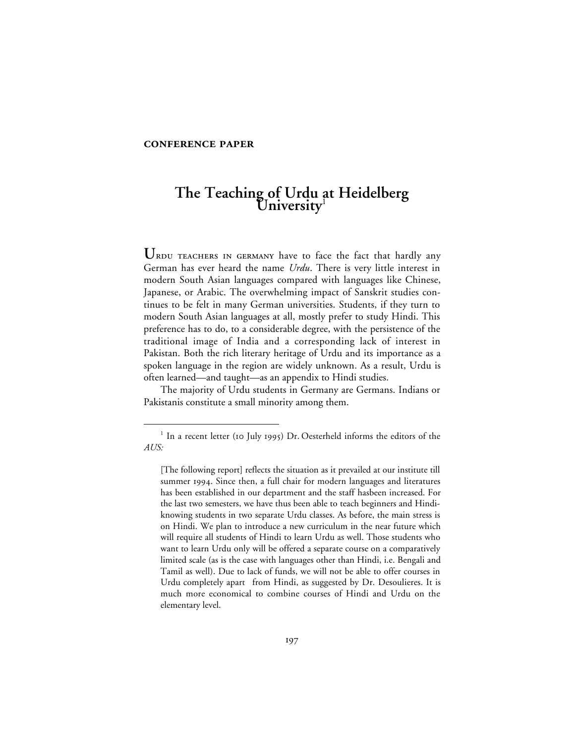## **CONFERENCE PAPER**

# **The Teaching of Urdu at Heidelberg University**<sup>1</sup>

URDU TEACHERS IN GERMANY have to face the fact that hardly any German has ever heard the name *Urdu*. There is very little interest in modern South Asian languages compared with languages like Chinese, Japanese, or Arabic. The overwhelming impact of Sanskrit studies continues to be felt in many German universities. Students, if they turn to modern South Asian languages at all, mostly prefer to study Hindi. This preference has to do, to a considerable degree, with the persistence of the traditional image of India and a corresponding lack of interest in Pakistan. Both the rich literary heritage of Urdu and its importance as a spoken language in the region are widely unknown. As a result, Urdu is often learned—and taught—as an appendix to Hindi studies.

The majority of Urdu students in Germany are Germans. Indians or Pakistanis constitute a small minority among them.

 $1$  In a recent letter (10 July 1995) Dr. Oesterheld informs the editors of the *AUS:*

<sup>[</sup>The following report] reflects the situation as it prevailed at our institute till summer 1994. Since then, a full chair for modern languages and literatures has been established in our department and the staff hasbeen increased. For the last two semesters, we have thus been able to teach beginners and Hindiknowing students in two separate Urdu classes. As before, the main stress is on Hindi. We plan to introduce a new curriculum in the near future which will require all students of Hindi to learn Urdu as well. Those students who want to learn Urdu only will be offered a separate course on a comparatively limited scale (as is the case with languages other than Hindi, i.e. Bengali and Tamil as well). Due to lack of funds, we will not be able to offer courses in Urdu completely apart from Hindi, as suggested by Dr. Desoulieres. It is much more economical to combine courses of Hindi and Urdu on the elementary level.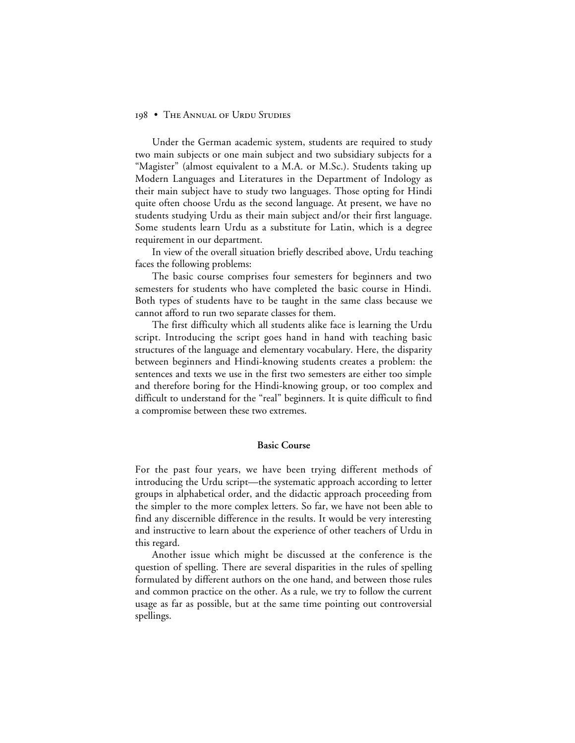#### 198 • THE ANNUAL OF URDU STUDIES

Under the German academic system, students are required to study two main subjects or one main subject and two subsidiary subjects for a "Magister" (almost equivalent to a M.A. or M.Sc.). Students taking up Modern Languages and Literatures in the Department of Indology as their main subject have to study two languages. Those opting for Hindi quite often choose Urdu as the second language. At present, we have no students studying Urdu as their main subject and/or their first language. Some students learn Urdu as a substitute for Latin, which is a degree requirement in our department.

In view of the overall situation briefly described above, Urdu teaching faces the following problems:

The basic course comprises four semesters for beginners and two semesters for students who have completed the basic course in Hindi. Both types of students have to be taught in the same class because we cannot afford to run two separate classes for them.

The first difficulty which all students alike face is learning the Urdu script. Introducing the script goes hand in hand with teaching basic structures of the language and elementary vocabulary. Here, the disparity between beginners and Hindi-knowing students creates a problem: the sentences and texts we use in the first two semesters are either too simple and therefore boring for the Hindi-knowing group, or too complex and difficult to understand for the "real" beginners. It is quite difficult to find a compromise between these two extremes.

### **Basic Course**

For the past four years, we have been trying different methods of introducing the Urdu script—the systematic approach according to letter groups in alphabetical order, and the didactic approach proceeding from the simpler to the more complex letters. So far, we have not been able to find any discernible difference in the results. It would be very interesting and instructive to learn about the experience of other teachers of Urdu in this regard.

Another issue which might be discussed at the conference is the question of spelling. There are several disparities in the rules of spelling formulated by different authors on the one hand, and between those rules and common practice on the other. As a rule, we try to follow the current usage as far as possible, but at the same time pointing out controversial spellings.